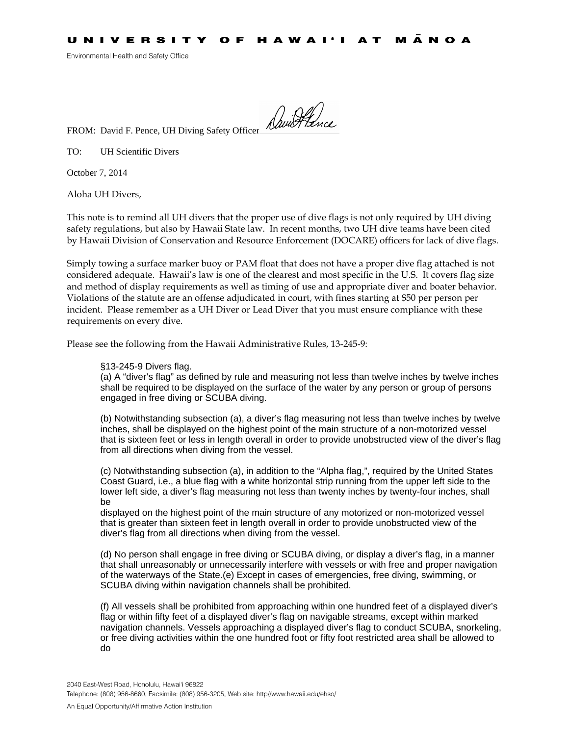Environmental Health and Safety Office

FROM: David F. Pence, UH Diving Safety Officer

TO: UH Scientific Divers

October 7, 2014

Aloha UH Divers,

This note is to remind all UH divers that the proper use of dive flags is not only required by UH diving safety regulations, but also by Hawaii State law. In recent months, two UH dive teams have been cited by Hawaii Division of Conservation and Resource Enforcement (DOCARE) officers for lack of dive flags.

Simply towing a surface marker buoy or PAM float that does not have a proper dive flag attached is not considered adequate. Hawaii's law is one of the clearest and most specific in the U.S. It covers flag size and method of display requirements as well as timing of use and appropriate diver and boater behavior. Violations of the statute are an offense adjudicated in court, with fines starting at \$50 per person per incident. Please remember as a UH Diver or Lead Diver that you must ensure compliance with these requirements on every dive.

Please see the following from the Hawaii Administrative Rules, 13-245-9:

## §13-245-9 Divers flag.

(a) A "diver's flag" as defined by rule and measuring not less than twelve inches by twelve inches shall be required to be displayed on the surface of the water by any person or group of persons engaged in free diving or SCUBA diving.

(b) Notwithstanding subsection (a), a diver's flag measuring not less than twelve inches by twelve inches, shall be displayed on the highest point of the main structure of a non-motorized vessel that is sixteen feet or less in length overall in order to provide unobstructed view of the diver's flag from all directions when diving from the vessel.

(c) Notwithstanding subsection (a), in addition to the "Alpha flag,", required by the United States Coast Guard, i.e., a blue flag with a white horizontal strip running from the upper left side to the lower left side, a diver's flag measuring not less than twenty inches by twenty-four inches, shall be

displayed on the highest point of the main structure of any motorized or non-motorized vessel that is greater than sixteen feet in length overall in order to provide unobstructed view of the diver's flag from all directions when diving from the vessel.

(d) No person shall engage in free diving or SCUBA diving, or display a diver's flag, in a manner that shall unreasonably or unnecessarily interfere with vessels or with free and proper navigation of the waterways of the State.(e) Except in cases of emergencies, free diving, swimming, or SCUBA diving within navigation channels shall be prohibited.

(f) All vessels shall be prohibited from approaching within one hundred feet of a displayed diver's flag or within fifty feet of a displayed diver's flag on navigable streams, except within marked navigation channels. Vessels approaching a displayed diver's flag to conduct SCUBA, snorkeling, or free diving activities within the one hundred foot or fifty foot restricted area shall be allowed to do